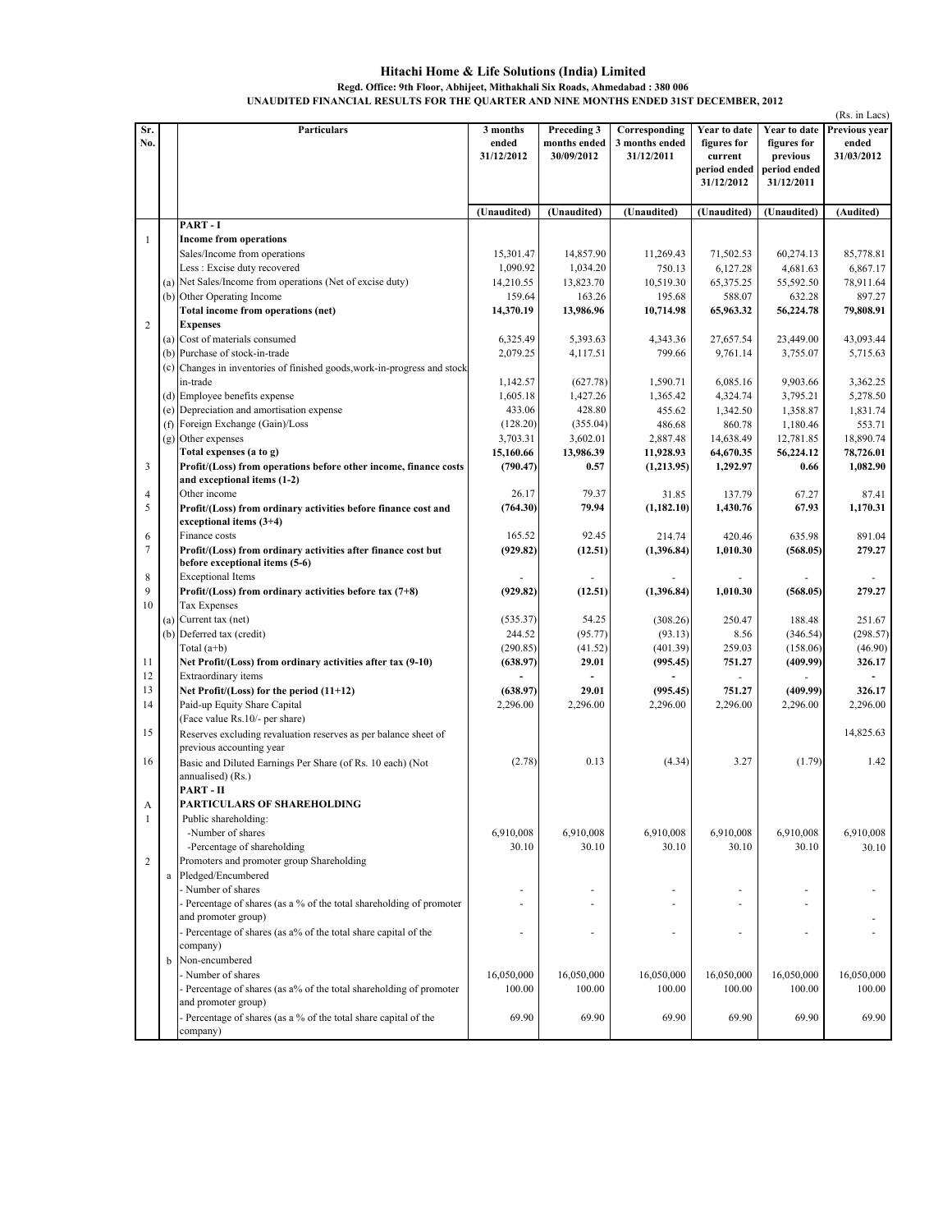## Hitachi Home & Life Solutions (India) Limited Regd. Office: 9th Floor, Abhijeet, Mithakhali Six Roads, Ahmedabad : 380 006 UNAUDITED FINANCIAL RESULTS FOR THE QUARTER AND NINE MONTHS ENDED 31ST DECEMBER, 2012

|                |          |                                                                                                                             |                                 |                                           |                                               |                                                                      |                                                                       | (Rs. in Lacs)                        |
|----------------|----------|-----------------------------------------------------------------------------------------------------------------------------|---------------------------------|-------------------------------------------|-----------------------------------------------|----------------------------------------------------------------------|-----------------------------------------------------------------------|--------------------------------------|
| Sr.<br>No.     |          | Particulars                                                                                                                 | 3 months<br>ended<br>31/12/2012 | Preceding 3<br>months ended<br>30/09/2012 | Corresponding<br>3 months ended<br>31/12/2011 | Year to date<br>figures for<br>current<br>period ended<br>31/12/2012 | Year to date<br>figures for<br>previous<br>period ended<br>31/12/2011 | Previous year<br>ended<br>31/03/2012 |
|                |          |                                                                                                                             | (Unaudited)                     | (Unaudited)                               | (Unaudited)                                   | (Unaudited)                                                          | (Unaudited)                                                           | (Audited)                            |
|                |          | PART-I                                                                                                                      |                                 |                                           |                                               |                                                                      |                                                                       |                                      |
| 1              |          | <b>Income from operations</b>                                                                                               |                                 |                                           |                                               |                                                                      |                                                                       |                                      |
|                |          | Sales/Income from operations                                                                                                | 15,301.47                       | 14,857.90                                 | 11,269.43                                     | 71,502.53                                                            | 60,274.13                                                             | 85,778.81                            |
|                |          | Less: Excise duty recovered                                                                                                 | 1,090.92                        | 1,034.20                                  | 750.13                                        | 6,127.28                                                             | 4,681.63                                                              | 6,867.17                             |
|                | (a)      | Net Sales/Income from operations (Net of excise duty)                                                                       | 14,210.55                       | 13,823.70                                 | 10,519.30                                     | 65,375.25                                                            | 55,592.50                                                             | 78,911.64                            |
|                | (b)      | Other Operating Income                                                                                                      | 159.64                          | 163.26                                    | 195.68                                        | 588.07                                                               | 632.28                                                                | 897.27                               |
| $\overline{2}$ |          | Total income from operations (net)<br><b>Expenses</b>                                                                       | 14,370.19                       | 13,986.96                                 | 10,714.98                                     | 65,963.32                                                            | 56,224.78                                                             | 79,808.91                            |
|                |          | (a) Cost of materials consumed                                                                                              | 6,325.49                        | 5,393.63                                  | 4,343.36                                      | 27,657.54                                                            | 23,449.00                                                             | 43,093.44                            |
|                |          | (b) Purchase of stock-in-trade                                                                                              | 2,079.25                        | 4,117.51                                  | 799.66                                        | 9,761.14                                                             | 3,755.07                                                              | 5,715.63                             |
|                | (c)      | Changes in inventories of finished goods, work-in-progress and stock                                                        |                                 |                                           |                                               |                                                                      |                                                                       |                                      |
|                |          | in-trade                                                                                                                    | 1,142.57                        | (627.78)                                  | 1,590.71                                      | 6,085.16                                                             | 9,903.66                                                              | 3,362.25                             |
|                |          | (d) Employee benefits expense                                                                                               | 1,605.18                        | 1,427.26                                  | 1,365.42                                      | 4,324.74                                                             | 3,795.21                                                              | 5,278.50                             |
|                |          | (e) Depreciation and amortisation expense                                                                                   | 433.06                          | 428.80                                    | 455.62                                        | 1,342.50                                                             | 1,358.87                                                              | 1,831.74                             |
|                |          | (f) Foreign Exchange (Gain)/Loss                                                                                            | (128.20)                        | (355.04)                                  | 486.68                                        | 860.78                                                               | 1,180.46                                                              | 553.71                               |
|                |          | (g) Other expenses                                                                                                          | 3,703.31                        | 3,602.01                                  | 2,887.48                                      | 14,638.49                                                            | 12,781.85                                                             | 18,890.74                            |
|                |          | Total expenses (a to g)                                                                                                     | 15,160.66                       | 13,986.39                                 | 11,928.93                                     | 64,670.35                                                            | 56,224.12                                                             | 78,726.01                            |
| 3              |          | Profit/(Loss) from operations before other income, finance costs<br>and exceptional items (1-2)                             | (790.47)                        | 0.57                                      | (1,213.95)                                    | 1,292.97                                                             | 0.66                                                                  | 1,082.90                             |
| 4              |          | Other income                                                                                                                | 26.17                           | 79.37                                     | 31.85                                         | 137.79                                                               | 67.27                                                                 | 87.41                                |
| 5              |          | Profit/(Loss) from ordinary activities before finance cost and<br>exceptional items $(3+4)$                                 | (764.30)                        | 79.94                                     | (1,182.10)                                    | 1,430.76                                                             | 67.93                                                                 | 1,170.31                             |
| 6<br>7         |          | Finance costs                                                                                                               | 165.52<br>(929.82)              | 92.45                                     | 214.74                                        | 420.46                                                               | 635.98                                                                | 891.04<br>279,27                     |
| 8              |          | Profit/(Loss) from ordinary activities after finance cost but<br>before exceptional items (5-6)<br><b>Exceptional Items</b> |                                 | (12.51)                                   | (1,396.84)                                    | 1,010.30                                                             | (568.05)                                                              |                                      |
| 9              |          | Profit/(Loss) from ordinary activities before tax $(7+8)$                                                                   | (929.82)                        | (12.51)                                   | (1,396.84)                                    | 1,010.30                                                             | (568.05)                                                              | 279.27                               |
| 10             |          | Tax Expenses                                                                                                                |                                 |                                           |                                               |                                                                      |                                                                       |                                      |
|                |          | (a) Current tax (net)                                                                                                       | (535.37)                        | 54.25                                     | (308.26)                                      | 250.47                                                               | 188.48                                                                | 251.67                               |
|                |          | (b) Deferred tax (credit)                                                                                                   | 244.52                          | (95.77)                                   | (93.13)                                       | 8.56                                                                 | (346.54)                                                              | (298.57)                             |
|                |          | Total $(a+b)$                                                                                                               | (290.85)                        | (41.52)                                   | (401.39)                                      | 259.03                                                               | (158.06)                                                              | (46.90)                              |
| 11             |          | Net Profit/(Loss) from ordinary activities after tax (9-10)                                                                 | (638.97)                        | 29.01                                     | (995.45)                                      | 751.27                                                               | (409.99)                                                              | 326.17                               |
| 12             |          | Extraordinary items                                                                                                         |                                 |                                           |                                               |                                                                      |                                                                       |                                      |
| 13             |          | Net Profit/(Loss) for the period (11+12)                                                                                    | (638.97)                        | 29.01                                     | (995.45)                                      | 751.27                                                               | (409.99)                                                              | 326.17                               |
| 14             |          | Paid-up Equity Share Capital                                                                                                | 2,296.00                        | 2,296.00                                  | 2,296.00                                      | 2,296.00                                                             | 2,296.00                                                              | 2,296.00                             |
|                |          | (Face value Rs.10/- per share)                                                                                              |                                 |                                           |                                               |                                                                      |                                                                       |                                      |
| 15             |          | Reserves excluding revaluation reserves as per balance sheet of<br>previous accounting year                                 |                                 |                                           |                                               |                                                                      |                                                                       | 14,825.63                            |
| 16             |          | Basic and Diluted Earnings Per Share (of Rs. 10 each) (Not<br>annualised) (Rs.)<br>PART - II                                | (2.78)                          | 0.13                                      | (4.34)                                        | 3.27                                                                 | (1.79)                                                                | 1.42                                 |
| A              |          | PARTICULARS OF SHAREHOLDING                                                                                                 |                                 |                                           |                                               |                                                                      |                                                                       |                                      |
| 1              |          | Public shareholding:                                                                                                        |                                 |                                           |                                               |                                                                      |                                                                       |                                      |
|                |          | -Number of shares                                                                                                           | 6,910,008                       | 6,910,008                                 | 6,910,008                                     | 6,910,008                                                            | 6,910,008                                                             | 6,910,008                            |
|                |          | -Percentage of shareholding                                                                                                 | 30.10                           | 30.10                                     | 30.10                                         | 30.10                                                                | 30.10                                                                 | 30.10                                |
| $\overline{2}$ |          | Promoters and promoter group Shareholding                                                                                   |                                 |                                           |                                               |                                                                      |                                                                       |                                      |
|                | $\rm{a}$ | Pledged/Encumbered                                                                                                          |                                 |                                           |                                               |                                                                      |                                                                       |                                      |
|                |          | Number of shares                                                                                                            | $\overline{\phantom{a}}$        | ٠                                         | $\overline{\phantom{a}}$                      |                                                                      | ٠                                                                     |                                      |
|                |          | Percentage of shares (as a % of the total shareholding of promoter                                                          |                                 |                                           |                                               |                                                                      | ä,                                                                    |                                      |
|                |          | and promoter group)                                                                                                         |                                 |                                           |                                               |                                                                      |                                                                       |                                      |
|                |          | Percentage of shares (as a% of the total share capital of the                                                               |                                 |                                           |                                               | ٠                                                                    | ÷                                                                     |                                      |
|                |          | company)                                                                                                                    |                                 |                                           |                                               |                                                                      |                                                                       |                                      |
|                | b        | Non-encumbered                                                                                                              |                                 |                                           |                                               |                                                                      |                                                                       |                                      |
|                |          | Number of shares                                                                                                            | 16,050,000                      | 16,050,000                                | 16,050,000                                    | 16,050,000                                                           | 16,050,000                                                            | 16,050,000                           |
|                |          | Percentage of shares (as a% of the total shareholding of promoter                                                           | 100.00                          | 100.00                                    | 100.00                                        | 100.00                                                               | 100.00                                                                | 100.00                               |
|                |          | and promoter group)                                                                                                         |                                 |                                           |                                               |                                                                      |                                                                       |                                      |
|                |          | Percentage of shares (as a % of the total share capital of the<br>company)                                                  | 69.90                           | 69.90                                     | 69.90                                         | 69.90                                                                | 69.90                                                                 | 69.90                                |